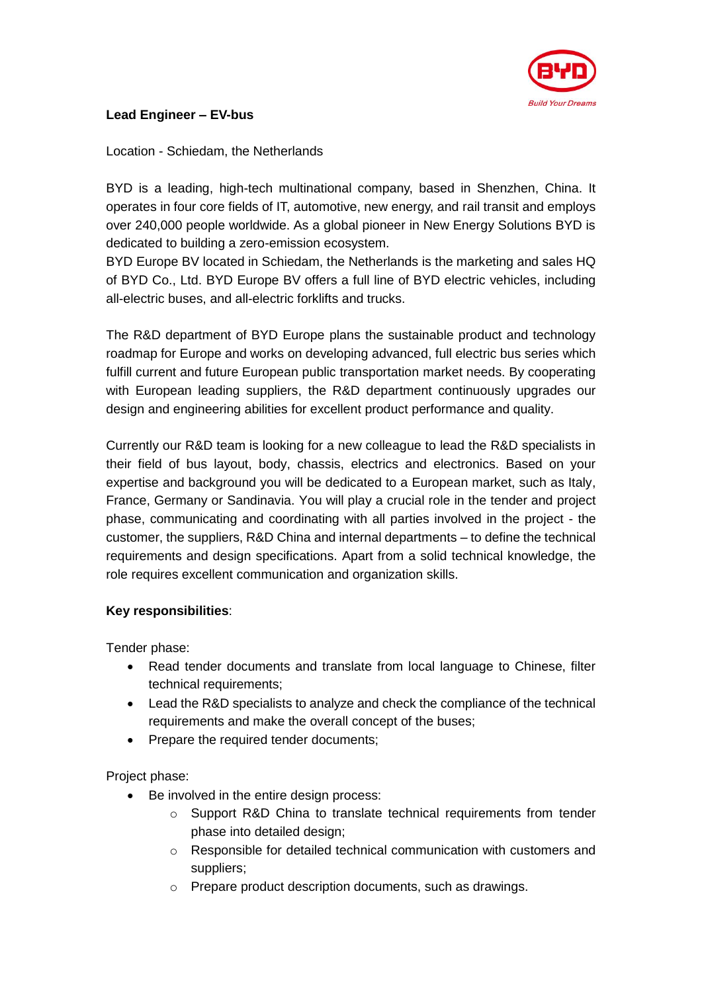

## **Lead Engineer – EV-bus**

Location - Schiedam, the Netherlands

BYD is a leading, high-tech multinational company, based in Shenzhen, China. It operates in four core fields of IT, automotive, new energy, and rail transit and employs over 240,000 people worldwide. As a global pioneer in New Energy Solutions BYD is dedicated to building a zero-emission ecosystem.

BYD Europe BV located in Schiedam, the Netherlands is the marketing and sales HQ of BYD Co., Ltd. BYD Europe BV offers a full line of BYD electric vehicles, including all-electric buses, and all-electric forklifts and trucks.

The R&D department of BYD Europe plans the sustainable product and technology roadmap for Europe and works on developing advanced, full electric bus series which fulfill current and future European public transportation market needs. By cooperating with European leading suppliers, the R&D department continuously upgrades our design and engineering abilities for excellent product performance and quality.

Currently our R&D team is looking for a new colleague to lead the R&D specialists in their field of bus layout, body, chassis, electrics and electronics. Based on your expertise and background you will be dedicated to a European market, such as Italy, France, Germany or Sandinavia. You will play a crucial role in the tender and project phase, communicating and coordinating with all parties involved in the project - the customer, the suppliers, R&D China and internal departments – to define the technical requirements and design specifications. Apart from a solid technical knowledge, the role requires excellent communication and organization skills.

## **Key responsibilities**:

Tender phase:

- Read tender documents and translate from local language to Chinese, filter technical requirements;
- Lead the R&D specialists to analyze and check the compliance of the technical requirements and make the overall concept of the buses;
- Prepare the required tender documents;

Project phase:

- Be involved in the entire design process:
	- o Support R&D China to translate technical requirements from tender phase into detailed design;
	- o Responsible for detailed technical communication with customers and suppliers;
	- o Prepare product description documents, such as drawings.